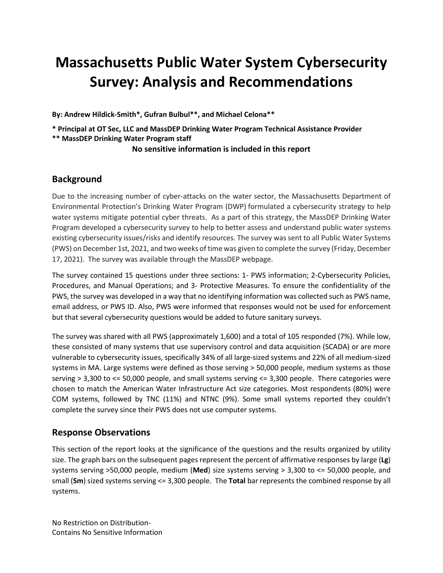# **Massachusetts Public Water System Cybersecurity Survey: Analysis and Recommendations**

**By: Andrew Hildick-Smith\*, Gufran Bulbul\*\*, and Michael Celona\*\***

**\* Principal at OT Sec, LLC and MassDEP Drinking Water Program Technical Assistance Provider \*\* MassDEP Drinking Water Program staff**

#### **No sensitive information is included in this report**

## **Background**

Due to the increasing number of cyber-attacks on the water sector, the Massachusetts Department of Environmental Protection's Drinking Water Program (DWP) formulated a cybersecurity strategy to help water systems mitigate potential cyber threats. As a part of this strategy, the MassDEP Drinking Water Program developed a cybersecurity survey to help to better assess and understand public water systems existing cybersecurity issues/risks and identify resources. The survey was sent to all Public Water Systems (PWS) on December 1st, 2021, and two weeks of time was given to complete the survey (Friday, December 17, 2021). The survey was available through the MassDEP webpage.

The survey contained 15 questions under three sections: 1- PWS information; 2-Cybersecurity Policies, Procedures, and Manual Operations; and 3- Protective Measures. To ensure the confidentiality of the PWS, the survey was developed in a way that no identifying information was collected such as PWS name, email address, or PWS ID. Also, PWS were informed that responses would not be used for enforcement but that several cybersecurity questions would be added to future sanitary surveys.

The survey was shared with all PWS (approximately 1,600) and a total of 105 responded (7%). While low, these consisted of many systems that use supervisory control and data acquisition (SCADA) or are more vulnerable to cybersecurity issues, specifically 34% of all large-sized systems and 22% of all medium-sized systems in MA. Large systems were defined as those serving > 50,000 people, medium systems as those serving > 3,300 to <= 50,000 people, and small systems serving <= 3,300 people. There categories were chosen to match the American Water Infrastructure Act size categories. Most respondents (80%) were COM systems, followed by TNC (11%) and NTNC (9%). Some small systems reported they couldn't complete the survey since their PWS does not use computer systems.

## **Response Observations**

This section of the report looks at the significance of the questions and the results organized by utility size. The graph bars on the subsequent pages represent the percent of affirmative responses by large (**Lg**) systems serving >50,000 people, medium (**Med**) size systems serving > 3,300 to <= 50,000 people, and small (**Sm**) sized systems serving <= 3,300 people. The **Total** bar represents the combined response by all systems.

No Restriction on Distribution-Contains No Sensitive Information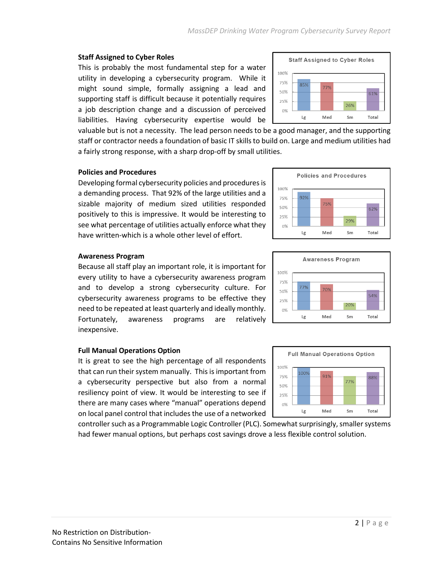## **Staff Assigned to Cyber Roles**

This is probably the most fundamental step for a water utility in developing a cybersecurity program. While it might sound simple, formally assigning a lead and supporting staff is difficult because it potentially requires a job description change and a discussion of perceived liabilities. Having cybersecurity expertise would be



valuable but is not a necessity. The lead person needs to be a good manager, and the supporting staff or contractor needs a foundation of basic IT skillsto build on. Large and medium utilities had a fairly strong response, with a sharp drop-off by small utilities.

#### **Policies and Procedures**

Developing formal cybersecurity policies and procedures is a demanding process. That 92% of the large utilities and a sizable majority of medium sized utilities responded positively to this is impressive. It would be interesting to see what percentage of utilities actually enforce what they have written-which is a whole other level of effort.



#### **Awareness Program**

Because all staff play an important role, it is important for every utility to have a cybersecurity awareness program and to develop a strong cybersecurity culture. For cybersecurity awareness programs to be effective they need to be repeated at least quarterly and ideally monthly. Fortunately, awareness programs are relatively inexpensive.

#### **Full Manual Operations Option**

It is great to see the high percentage of all respondents that can run their system manually. This is important from a cybersecurity perspective but also from a normal resiliency point of view. It would be interesting to see if there are many cases where "manual" operations depend on local panel control that includes the use of a networked

controller such as a Programmable Logic Controller (PLC). Somewhat surprisingly, smaller systems had fewer manual options, but perhaps cost savings drove a less flexible control solution.



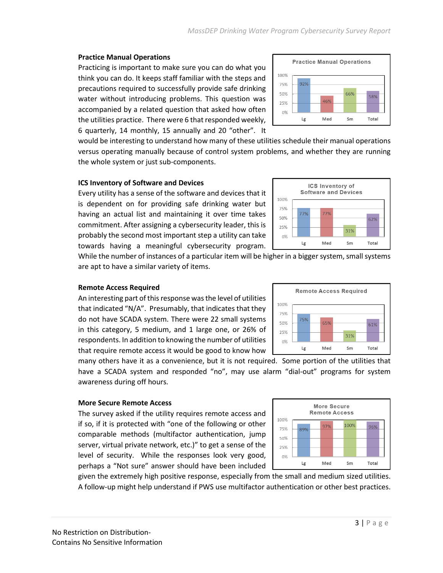100%

75%

50%

25% 0% 92%

Lg

#### **Practice Manual Operations**

Practicing is important to make sure you can do what you think you can do. It keeps staff familiar with the steps and precautions required to successfully provide safe drinking water without introducing problems. This question was accompanied by a related question that asked how often the utilities practice. There were 6 that responded weekly, 6 quarterly, 14 monthly, 15 annually and 20 "other". It

would be interesting to understand how many of these utilities schedule their manual operations versus operating manually because of control system problems, and whether they are running the whole system or just sub-components.

#### **ICS Inventory of Software and Devices**

Every utility has a sense of the software and devices that it is dependent on for providing safe drinking water but having an actual list and maintaining it over time takes commitment. After assigning a cybersecurity leader, this is probably the second most important step a utility can take towards having a meaningful cybersecurity program.

While the number of instances of a particular item will be higher in a bigger system, small systems are apt to have a similar variety of items.

#### **Remote Access Required**

An interesting part of this response was the level of utilities that indicated "N/A". Presumably, that indicates that they do not have SCADA system. There were 22 small systems in this category, 5 medium, and 1 large one, or 26% of respondents. In addition to knowing the number of utilities that require remote access it would be good to know how

many others have it as a convenience, but it is not required. Some portion of the utilities that have a SCADA system and responded "no", may use alarm "dial-out" programs for system awareness during off hours.

## **More Secure Remote Access**

The survey asked if the utility requires remote access and if so, if it is protected with "one of the following or other comparable methods (multifactor authentication, jump server, virtual private network, etc.)" to get a sense of the level of security. While the responses look very good, perhaps a "Not sure" answer should have been included

given the extremely high positive response, especially from the small and medium sized utilities. A follow-up might help understand if PWS use multifactor authentication or other best practices.







**Practice Manual Operations** 

46%

Med

66%

Sm

58%

Total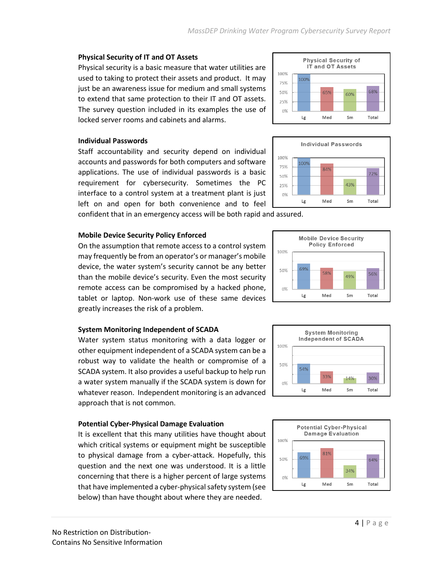100%

25%  $0\%$ 

100%

50%

 $0%$ 

Lg

## **Physical Security of IT and OT Assets**

Physical security is a basic measure that water utilities are used to taking to protect their assets and product. It may just be an awareness issue for medium and small systems to extend that same protection to their IT and OT assets. The survey question included in its examples the use of locked server rooms and cabinets and alarms.

## **Individual Passwords**

Staff accountability and security depend on individual accounts and passwords for both computers and software applications. The use of individual passwords is a basic requirement for cybersecurity. Sometimes the PC interface to a control system at a treatment plant is just left on and open for both convenience and to feel

confident that in an emergency access will be both rapid and assured.

## **Mobile Device Security Policy Enforced**

On the assumption that remote access to a control system may frequently be from an operator's or manager's mobile device, the water system's security cannot be any better than the mobile device's security. Even the most security remote access can be compromised by a hacked phone, tablet or laptop. Non-work use of these same devices greatly increases the risk of a problem.

## **System Monitoring Independent of SCADA**

Water system status monitoring with a data logger or other equipment independent of a SCADA system can be a robust way to validate the health or compromise of a SCADA system. It also provides a useful backup to help run a water system manually if the SCADA system is down for whatever reason. Independent monitoring is an advanced approach that is not common.

## **Potential Cyber-Physical Damage Evaluation**

It is excellent that this many utilities have thought about which critical systems or equipment might be susceptible to physical damage from a cyber-attack. Hopefully, this question and the next one was understood. It is a little concerning that there is a higher percent of large systems that have implemented a cyber-physical safety system (see below) than have thought about where they are needed.

64%

Total

34%

Sm



**Potential Cyber-Physical Damage Evaluation** 

81%

Med

69%

Lg



43%

Sm

Total

**Physical Security of** IT and OT Assets



Med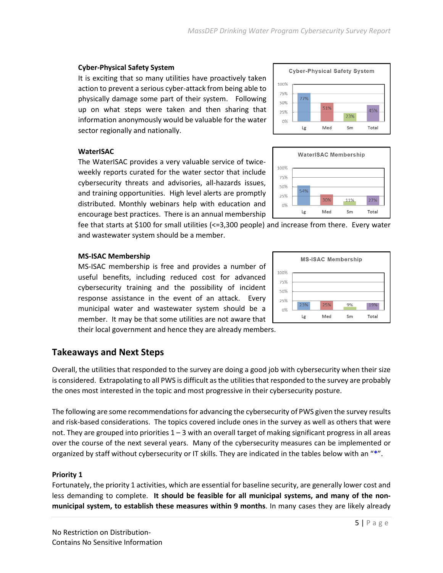## *MassDEP Drinking Water Program Cybersecurity Survey Report*

100% 75% 50%

25%

0%

54%

Lg

## **Cyber-Physical Safety System**

It is exciting that so many utilities have proactively taken action to prevent a serious cyber-attack from being able to physically damage some part of their system. Following up on what steps were taken and then sharing that information anonymously would be valuable for the water sector regionally and nationally.

#### **WaterISAC**

The WaterISAC provides a very valuable service of twiceweekly reports curated for the water sector that include cybersecurity threats and advisories, all-hazards issues, and training opportunities. High level alerts are promptly distributed. Monthly webinars help with education and encourage best practices. There is an annual membership

fee that starts at \$100 for small utilities (<=3,300 people) and increase from there. Every water and wastewater system should be a member.

## **MS-ISAC Membership**

MS-ISAC membership is free and provides a number of useful benefits, including reduced cost for advanced cybersecurity training and the possibility of incident response assistance in the event of an attack. Every municipal water and wastewater system should be a member. It may be that some utilities are not aware that their local government and hence they are already members.

## **Takeaways and Next Steps**

Overall, the utilities that responded to the survey are doing a good job with cybersecurity when their size is considered. Extrapolating to all PWS is difficult as the utilities that responded to the survey are probably the ones most interested in the topic and most progressive in their cybersecurity posture.

The following are some recommendations for advancing the cybersecurity of PWS given the survey results and risk-based considerations. The topics covered include ones in the survey as well as others that were not. They are grouped into priorities 1 – 3 with an overall target of making significant progress in all areas over the course of the next several years. Many of the cybersecurity measures can be implemented or organized by staff without cybersecurity or IT skills. They are indicated in the tables below with an "**\***".

## **Priority 1**

Fortunately, the priority 1 activities, which are essential for baseline security, are generally lower cost and less demanding to complete. **It should be feasible for all municipal systems, and many of the nonmunicipal system, to establish these measures within 9 months**. In many cases they are likely already





**WaterISAC Membership** 

30%

Med

27%

Total

11%

Sm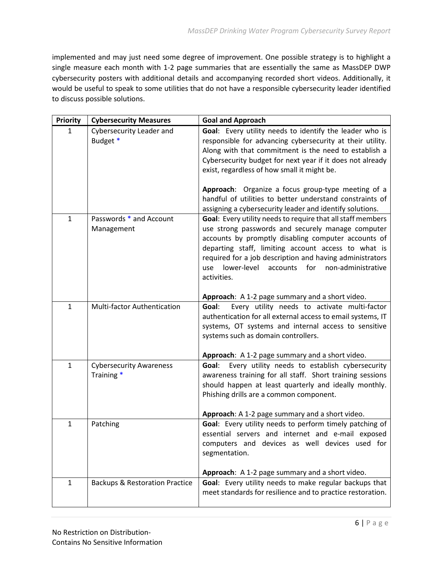implemented and may just need some degree of improvement. One possible strategy is to highlight a single measure each month with 1-2 page summaries that are essentially the same as MassDEP DWP cybersecurity posters with additional details and accompanying recorded short videos. Additionally, it would be useful to speak to some utilities that do not have a responsible cybersecurity leader identified to discuss possible solutions.

| <b>Priority</b> | <b>Cybersecurity Measures</b>                | <b>Goal and Approach</b>                                                                                                                                                                                                                                                                                                                                                                                                                                                |
|-----------------|----------------------------------------------|-------------------------------------------------------------------------------------------------------------------------------------------------------------------------------------------------------------------------------------------------------------------------------------------------------------------------------------------------------------------------------------------------------------------------------------------------------------------------|
| $\mathbf{1}$    | <b>Cybersecurity Leader and</b><br>Budget *  | Goal: Every utility needs to identify the leader who is<br>responsible for advancing cybersecurity at their utility.<br>Along with that commitment is the need to establish a<br>Cybersecurity budget for next year if it does not already<br>exist, regardless of how small it might be.<br>Approach: Organize a focus group-type meeting of a<br>handful of utilities to better understand constraints of<br>assigning a cybersecurity leader and identify solutions. |
| $\mathbf{1}$    | Passwords * and Account                      | Goal: Every utility needs to require that all staff members                                                                                                                                                                                                                                                                                                                                                                                                             |
|                 | Management                                   | use strong passwords and securely manage computer<br>accounts by promptly disabling computer accounts of<br>departing staff, limiting account access to what is<br>required for a job description and having administrators<br>lower-level<br>for<br>use<br>accounts<br>non-administrative<br>activities.                                                                                                                                                               |
|                 |                                              | Approach: A 1-2 page summary and a short video.                                                                                                                                                                                                                                                                                                                                                                                                                         |
| $\mathbf{1}$    | Multi-factor Authentication                  | Goal:<br>Every utility needs to activate multi-factor<br>authentication for all external access to email systems, IT<br>systems, OT systems and internal access to sensitive<br>systems such as domain controllers.                                                                                                                                                                                                                                                     |
| $\mathbf{1}$    |                                              | Approach: A 1-2 page summary and a short video.                                                                                                                                                                                                                                                                                                                                                                                                                         |
|                 | <b>Cybersecurity Awareness</b><br>Training * | Goal: Every utility needs to establish cybersecurity<br>awareness training for all staff. Short training sessions<br>should happen at least quarterly and ideally monthly.<br>Phishing drills are a common component.<br>Approach: A 1-2 page summary and a short video.                                                                                                                                                                                                |
| $\mathbf{1}$    | Patching                                     | Goal: Every utility needs to perform timely patching of<br>essential servers and internet and e-mail exposed<br>computers and devices as well devices used for<br>segmentation.<br>Approach: A 1-2 page summary and a short video.                                                                                                                                                                                                                                      |
| $\mathbf{1}$    | <b>Backups &amp; Restoration Practice</b>    | Goal: Every utility needs to make regular backups that<br>meet standards for resilience and to practice restoration.                                                                                                                                                                                                                                                                                                                                                    |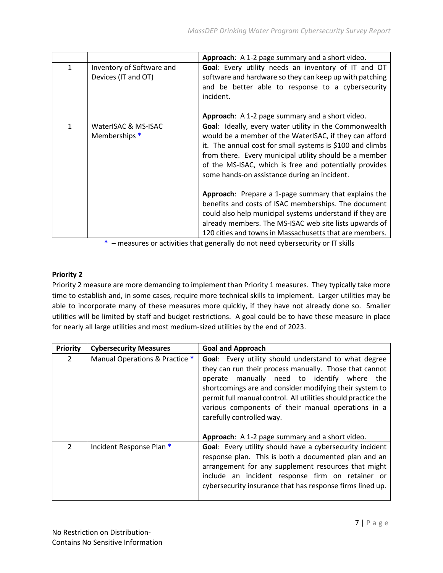|              |                                                  | Approach: A 1-2 page summary and a short video.                                                                                                                                                                                                                                                                                                   |
|--------------|--------------------------------------------------|---------------------------------------------------------------------------------------------------------------------------------------------------------------------------------------------------------------------------------------------------------------------------------------------------------------------------------------------------|
| $\mathbf{1}$ | Inventory of Software and<br>Devices (IT and OT) | Goal: Every utility needs an inventory of IT and OT<br>software and hardware so they can keep up with patching<br>and be better able to response to a cybersecurity<br>incident.                                                                                                                                                                  |
|              |                                                  | Approach: A 1-2 page summary and a short video.                                                                                                                                                                                                                                                                                                   |
| 1            | WaterISAC & MS-ISAC<br>Memberships *             | Goal: Ideally, every water utility in the Commonwealth<br>would be a member of the WaterISAC, if they can afford<br>it. The annual cost for small systems is \$100 and climbs<br>from there. Every municipal utility should be a member<br>of the MS-ISAC, which is free and potentially provides<br>some hands-on assistance during an incident. |
|              |                                                  | Approach: Prepare a 1-page summary that explains the<br>benefits and costs of ISAC memberships. The document<br>could also help municipal systems understand if they are<br>already members. The MS-ISAC web site lists upwards of<br>120 cities and towns in Massachusetts that are members.                                                     |

**\*** – measures or activities that generally do not need cybersecurity or IT skills

## **Priority 2**

Priority 2 measure are more demanding to implement than Priority 1 measures. They typically take more time to establish and, in some cases, require more technical skills to implement. Larger utilities may be able to incorporate many of these measures more quickly, if they have not already done so. Smaller utilities will be limited by staff and budget restrictions. A goal could be to have these measure in place for nearly all large utilities and most medium-sized utilities by the end of 2023.

| <b>Priority</b> | <b>Cybersecurity Measures</b>  | <b>Goal and Approach</b>                                                                                                                                                                                                                                                                                                                                                           |
|-----------------|--------------------------------|------------------------------------------------------------------------------------------------------------------------------------------------------------------------------------------------------------------------------------------------------------------------------------------------------------------------------------------------------------------------------------|
| $\mathfrak{D}$  | Manual Operations & Practice * | Goal: Every utility should understand to what degree<br>they can run their process manually. Those that cannot<br>manually need to identify where<br>the<br>operate<br>shortcomings are and consider modifying their system to<br>permit full manual control. All utilities should practice the<br>various components of their manual operations in a<br>carefully controlled way. |
|                 |                                | Approach: A 1-2 page summary and a short video.                                                                                                                                                                                                                                                                                                                                    |
| $\mathcal{P}$   | Incident Response Plan *       | Goal: Every utility should have a cybersecurity incident<br>response plan. This is both a documented plan and an<br>arrangement for any supplement resources that might<br>include an incident response firm on retainer or<br>cybersecurity insurance that has response firms lined up.                                                                                           |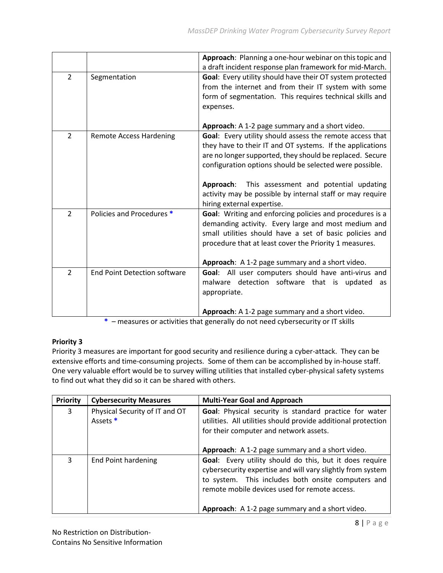|                |                                     | Approach: Planning a one-hour webinar on this topic and   |
|----------------|-------------------------------------|-----------------------------------------------------------|
|                |                                     | a draft incident response plan framework for mid-March.   |
| $\overline{2}$ | Segmentation                        | Goal: Every utility should have their OT system protected |
|                |                                     | from the internet and from their IT system with some      |
|                |                                     | form of segmentation. This requires technical skills and  |
|                |                                     | expenses.                                                 |
|                |                                     |                                                           |
|                |                                     | Approach: A 1-2 page summary and a short video.           |
| $\overline{2}$ | <b>Remote Access Hardening</b>      | Goal: Every utility should assess the remote access that  |
|                |                                     | they have to their IT and OT systems. If the applications |
|                |                                     | are no longer supported, they should be replaced. Secure  |
|                |                                     | configuration options should be selected were possible.   |
|                |                                     |                                                           |
|                |                                     | Approach: This assessment and potential updating          |
|                |                                     | activity may be possible by internal staff or may require |
|                |                                     | hiring external expertise.                                |
| $\overline{2}$ | Policies and Procedures *           | Goal: Writing and enforcing policies and procedures is a  |
|                |                                     | demanding activity. Every large and most medium and       |
|                |                                     | small utilities should have a set of basic policies and   |
|                |                                     | procedure that at least cover the Priority 1 measures.    |
|                |                                     |                                                           |
|                |                                     | Approach: A 1-2 page summary and a short video.           |
| $\overline{2}$ | <b>End Point Detection software</b> | Goal: All user computers should have anti-virus and       |
|                |                                     | malware detection software that is updated                |
|                |                                     | as                                                        |
|                |                                     | appropriate.                                              |
|                |                                     |                                                           |
|                |                                     | Approach: A 1-2 page summary and a short video.           |

**\*** – measures or activities that generally do not need cybersecurity or IT skills

## **Priority 3**

Priority 3 measures are important for good security and resilience during a cyber-attack. They can be extensive efforts and time-consuming projects. Some of them can be accomplished by in-house staff. One very valuable effort would be to survey willing utilities that installed cyber-physical safety systems to find out what they did so it can be shared with others.

| Priority | <b>Cybersecurity Measures</b>              | <b>Multi-Year Goal and Approach</b>                                                                                                                                                                                                                                             |
|----------|--------------------------------------------|---------------------------------------------------------------------------------------------------------------------------------------------------------------------------------------------------------------------------------------------------------------------------------|
| 3        | Physical Security of IT and OT<br>Assets * | Goal: Physical security is standard practice for water<br>utilities. All utilities should provide additional protection<br>for their computer and network assets.<br>Approach: A 1-2 page summary and a short video.                                                            |
| 3        | End Point hardening                        | Goal: Every utility should do this, but it does require<br>cybersecurity expertise and will vary slightly from system<br>to system. This includes both onsite computers and<br>remote mobile devices used for remote access.<br>Approach: A 1-2 page summary and a short video. |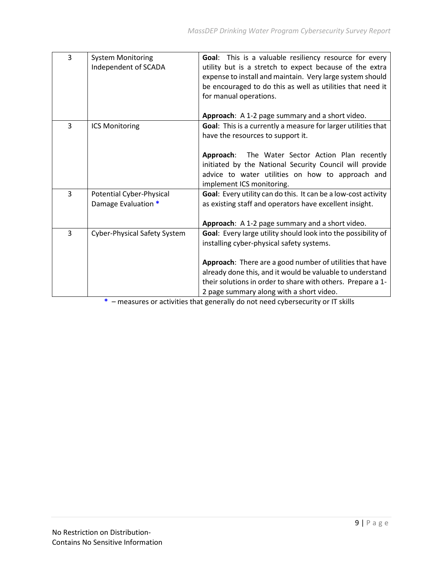| 3 | <b>System Monitoring</b>     | Goal: This is a valuable resiliency resource for every         |
|---|------------------------------|----------------------------------------------------------------|
|   | Independent of SCADA         | utility but is a stretch to expect because of the extra        |
|   |                              | expense to install and maintain. Very large system should      |
|   |                              | be encouraged to do this as well as utilities that need it     |
|   |                              | for manual operations.                                         |
|   |                              |                                                                |
|   |                              | Approach: A 1-2 page summary and a short video.                |
| 3 | <b>ICS Monitoring</b>        | Goal: This is a currently a measure for larger utilities that  |
|   |                              | have the resources to support it.                              |
|   |                              |                                                                |
|   |                              | Approach: The Water Sector Action Plan recently                |
|   |                              | initiated by the National Security Council will provide        |
|   |                              | advice to water utilities on how to approach and               |
|   |                              | implement ICS monitoring.                                      |
| 3 | Potential Cyber-Physical     | Goal: Every utility can do this. It can be a low-cost activity |
|   | Damage Evaluation *          | as existing staff and operators have excellent insight.        |
|   |                              |                                                                |
|   |                              |                                                                |
|   |                              | Approach: A 1-2 page summary and a short video.                |
| 3 | Cyber-Physical Safety System | Goal: Every large utility should look into the possibility of  |
|   |                              | installing cyber-physical safety systems.                      |
|   |                              |                                                                |
|   |                              | Approach: There are a good number of utilities that have       |
|   |                              | already done this, and it would be valuable to understand      |
|   |                              | their solutions in order to share with others. Prepare a 1-    |
|   |                              | 2 page summary along with a short video.                       |

**\*** – measures or activities that generally do not need cybersecurity or IT skills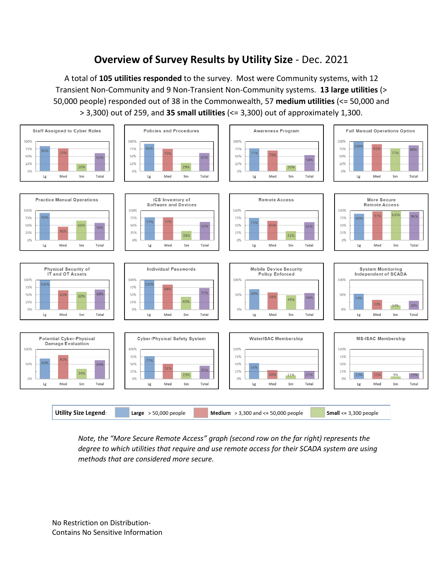## **Overview of Survey Results by Utility Size** - Dec. 2021

A total of **105 utilities responded** to the survey. Most were Community systems, with 12 Transient Non-Community and 9 Non-Transient Non-Community systems. **13 large utilities** (> 50,000 people) responded out of 38 in the Commonwealth, 57 **medium utilities** (<= 50,000 and > 3,300) out of 259, and **35 small utilities** (<= 3,300) out of approximately 1,300.



*Note, the "More Secure Remote Access" graph (second row on the far right) represents the degree to which utilities that require and use remote access for their SCADA system are using methods that are considered more secure.*

No Restriction on Distribution-Contains No Sensitive Information